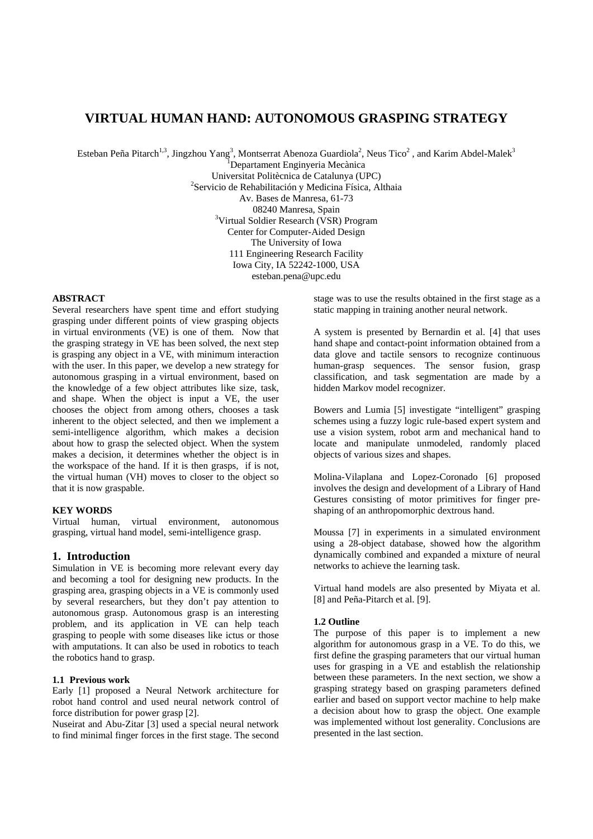# **VIRTUAL HUMAN HAND: AUTONOMOUS GRASPING STRATEGY**

Esteban Peña Pitarch<sup>1,3</sup>, Jingzhou Yang<sup>3</sup>, Montserrat Abenoza Guardiola<sup>2</sup>, Neus Tico<sup>2</sup>, and Karim Abdel-Malek<sup>3</sup>

<sup>1</sup>Departament Enginyeria Mecànica Universitat Politècnica de Catalunya (UPC) 2 <sup>2</sup>Servicio de Rehabilitación y Medicina Física, Althaia Av. Bases de Manresa, 61-73 08240 Manresa, Spain<br><sup>3</sup>Virtual Soldier Research (VSR) Program Center for Computer-Aided Design The University of Iowa 111 Engineering Research Facility Iowa City, IA 52242-1000, USA esteban.pena@upc.edu

### **ABSTRACT**

Several researchers have spent time and effort studying grasping under different points of view grasping objects in virtual environments (VE) is one of them. Now that the grasping strategy in VE has been solved, the next step is grasping any object in a VE, with minimum interaction with the user. In this paper, we develop a new strategy for autonomous grasping in a virtual environment, based on the knowledge of a few object attributes like size, task, and shape. When the object is input a VE, the user chooses the object from among others, chooses a task inherent to the object selected, and then we implement a semi-intelligence algorithm, which makes a decision about how to grasp the selected object. When the system makes a decision, it determines whether the object is in the workspace of the hand. If it is then grasps, if is not, the virtual human (VH) moves to closer to the object so that it is now graspable.

### **KEY WORDS**

Virtual human, virtual environment, autonomous grasping, virtual hand model, semi-intelligence grasp.

### **1. Introduction**

Simulation in VE is becoming more relevant every day and becoming a tool for designing new products. In the grasping area, grasping objects in a VE is commonly used by several researchers, but they don't pay attention to autonomous grasp. Autonomous grasp is an interesting problem, and its application in VE can help teach grasping to people with some diseases like ictus or those with amputations. It can also be used in robotics to teach the robotics hand to grasp.

### **1.1 Previous work**

Early [1] proposed a Neural Network architecture for robot hand control and used neural network control of force distribution for power grasp [2].

Nuseirat and Abu-Zitar [3] used a special neural network to find minimal finger forces in the first stage. The second

stage was to use the results obtained in the first stage as a static mapping in training another neural network.

A system is presented by Bernardin et al. [4] that uses hand shape and contact-point information obtained from a data glove and tactile sensors to recognize continuous human-grasp sequences. The sensor fusion, grasp classification, and task segmentation are made by a hidden Markov model recognizer.

Bowers and Lumia [5] investigate "intelligent" grasping schemes using a fuzzy logic rule-based expert system and use a vision system, robot arm and mechanical hand to locate and manipulate unmodeled, randomly placed objects of various sizes and shapes.

Molina-Vilaplana and Lopez-Coronado [6] proposed involves the design and development of a Library of Hand Gestures consisting of motor primitives for finger preshaping of an anthropomorphic dextrous hand.

Moussa [7] in experiments in a simulated environment using a 28-object database, showed how the algorithm dynamically combined and expanded a mixture of neural networks to achieve the learning task.

Virtual hand models are also presented by Miyata et al. [8] and Peña-Pitarch et al. [9].

### **1.2 Outline**

The purpose of this paper is to implement a new algorithm for autonomous grasp in a VE. To do this, we first define the grasping parameters that our virtual human uses for grasping in a VE and establish the relationship between these parameters. In the next section, we show a grasping strategy based on grasping parameters defined earlier and based on support vector machine to help make a decision about how to grasp the object. One example was implemented without lost generality. Conclusions are presented in the last section.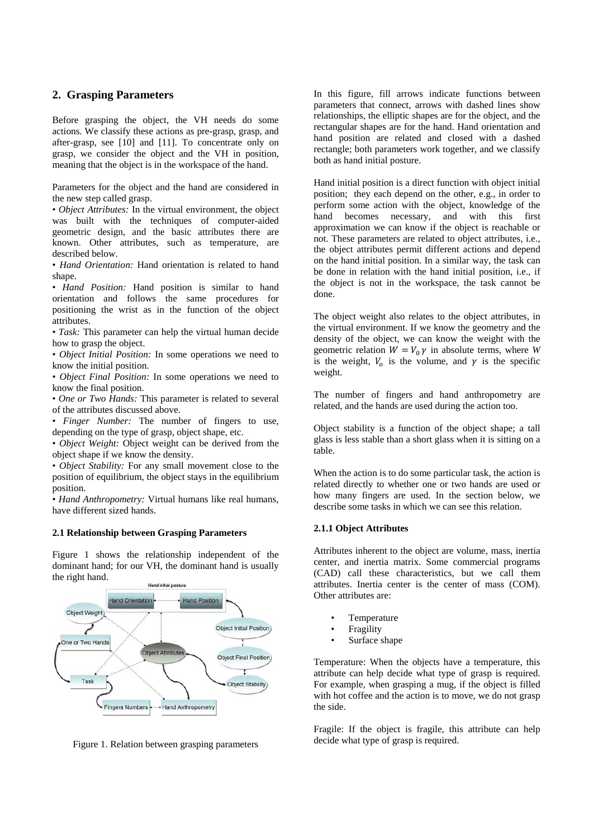### **2. Grasping Parameters**

Before grasping the object, the VH needs do some actions. We classify these actions as pre-grasp, grasp, and after-grasp, see [10] and [11]. To concentrate only on grasp, we consider the object and the VH in position, meaning that the object is in the workspace of the hand.

Parameters for the object and the hand are considered in the new step called grasp.

• *Object Attributes:* In the virtual environment, the object was built with the techniques of computer-aided geometric design, and the basic attributes there are known. Other attributes, such as temperature, are described below.

• *Hand Orientation:* Hand orientation is related to hand shape.

• *Hand Position:* Hand position is similar to hand orientation and follows the same procedures for positioning the wrist as in the function of the object attributes.

• *Task:* This parameter can help the virtual human decide how to grasp the object.

• *Object Initial Position:* In some operations we need to know the initial position.

• *Object Final Position:* In some operations we need to know the final position.

• *One or Two Hands:* This parameter is related to several of the attributes discussed above.

• *Finger Number:* The number of fingers to use, depending on the type of grasp, object shape, etc.

• *Object Weight:* Object weight can be derived from the object shape if we know the density.

• *Object Stability:* For any small movement close to the position of equilibrium, the object stays in the equilibrium position.

• *Hand Anthropometry:* Virtual humans like real humans, have different sized hands.

### **2.1 Relationship between Grasping Parameters**

Figure 1 shows the relationship independent of the dominant hand; for our VH, the dominant hand is usually the right hand.



Figure 1. Relation between grasping parameters

In this figure, fill arrows indicate functions between parameters that connect, arrows with dashed lines show relationships, the elliptic shapes are for the object, and the rectangular shapes are for the hand. Hand orientation and hand position are related and closed with a dashed rectangle; both parameters work together, and we classify both as hand initial posture.

Hand initial position is a direct function with object initial position; they each depend on the other, e.g., in order to perform some action with the object, knowledge of the hand becomes necessary, and with this first approximation we can know if the object is reachable or not. These parameters are related to object attributes, i.e., the object attributes permit different actions and depend on the hand initial position. In a similar way, the task can be done in relation with the hand initial position, i.e., if the object is not in the workspace, the task cannot be done.

The object weight also relates to the object attributes, in the virtual environment. If we know the geometry and the density of the object, we can know the weight with the geometric relation  $W = V_0 \gamma$  in absolute terms, where *W* is the weight,  $V_0$  is the volume, and  $\gamma$  is the specific weight.

The number of fingers and hand anthropometry are related, and the hands are used during the action too.

Object stability is a function of the object shape; a tall glass is less stable than a short glass when it is sitting on a table.

When the action is to do some particular task, the action is related directly to whether one or two hands are used or how many fingers are used. In the section below, we describe some tasks in which we can see this relation.

### **2.1.1 Object Attributes**

Attributes inherent to the object are volume, mass, inertia center, and inertia matrix. Some commercial programs (CAD) call these characteristics, but we call them attributes. Inertia center is the center of mass (COM). Other attributes are:

- **Temperature**
- **Fragility**
- Surface shape

Temperature: When the objects have a temperature, this attribute can help decide what type of grasp is required. For example, when grasping a mug, if the object is filled with hot coffee and the action is to move, we do not grasp the side.

Fragile: If the object is fragile, this attribute can help decide what type of grasp is required.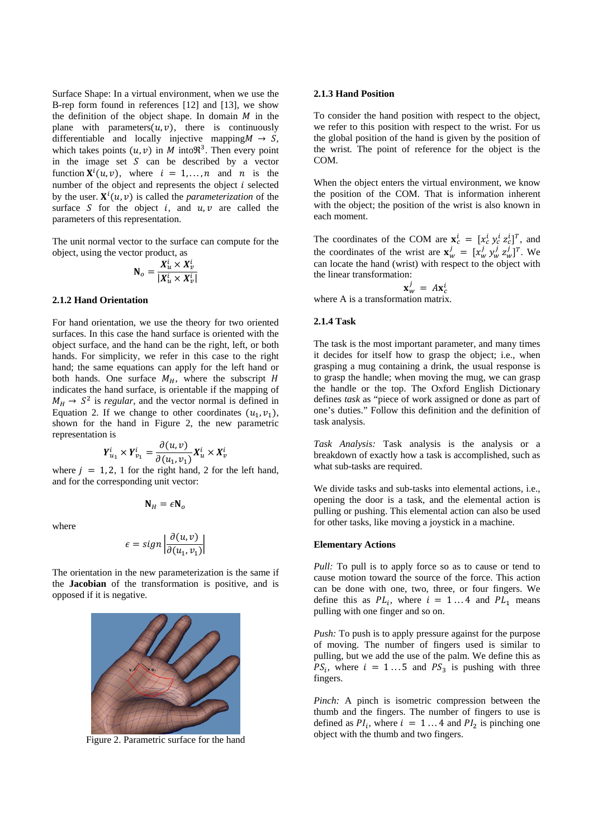Surface Shape: In a virtual environment, when we use the B-rep form found in references [12] and [13], we show the definition of the object shape. In domain  $M$  in the plane with parameters $(u, v)$ , there is continuously differentiable and locally injective mapping  $M \rightarrow S$ , which takes points  $(u, v)$  in M into  $\mathfrak{R}^3$ . Then every point in the image set  $S$  can be described by a vector function  $X^{i}(u, v)$ , where  $i = 1, ..., n$  and n is the number of the object and represents the object  $i$  selected by the user.  $X^{i}(u, v)$  is called the *parameterization* of the surface  $S$  for the object  $i$ , and  $u, v$  are called the parameters of this representation.

The unit normal vector to the surface can compute for the object, using the vector product, as

$$
\mathbf{N}_o = \frac{X_u^i \times X_v^i}{|X_u^i \times X_v^i|}
$$

### **2.1.2 Hand Orientation**

For hand orientation, we use the theory for two oriented surfaces. In this case the hand surface is oriented with the object surface, and the hand can be the right, left, or both hands. For simplicity, we refer in this case to the right hand; the same equations can apply for the left hand or both hands. One surface  $M_H$ , where the subscript  $H$ indicates the hand surface, is orientable if the mapping of  $M_H \rightarrow S^2$  is *regular*, and the vector normal is defined in Equation 2. If we change to other coordinates  $(u_1, v_1)$ , shown for the hand in Figure 2, the new parametric representation is

$$
Y_{u_1}^i \times Y_{v_1}^i = \frac{\partial(u, v)}{\partial(u_1, v_1)} X_u^i \times X_v^i
$$

where  $j = 1, 2, 1$  for the right hand, 2 for the left hand, and for the corresponding unit vector:

 $N_H = \epsilon N_o$ 

where

$$
\epsilon = sign \left| \frac{\partial(u, v)}{\partial(u_1, v_1)} \right|
$$

The orientation in the new parameterization is the same if the **Jacobian** of the transformation is positive, and is opposed if it is negative.



Figure 2. Parametric surface for the hand

#### **2.1.3 Hand Position**

To consider the hand position with respect to the object, we refer to this position with respect to the wrist. For us the global position of the hand is given by the position of the wrist. The point of reference for the object is the COM.

When the object enters the virtual environment, we know the position of the COM. That is information inherent with the object; the position of the wrist is also known in each moment.

The coordinates of the COM are  $\mathbf{x}_c^i = [x_c^i y_c^i z_c^i]^T$ , and the coordinates of the wrist are  $\mathbf{x}_w^j = [x_w^j y_w^j z_w^j]^T$ . We can locate the hand (wrist) with respect to the object with the linear transformation:

 $\mathbf{x}_{w}^{j} = A\mathbf{x}_{c}^{i}$ 

where A is a transformation matrix.

# **2.1.4 Task**

The task is the most important parameter, and many times it decides for itself how to grasp the object; i.e., when grasping a mug containing a drink, the usual response is to grasp the handle; when moving the mug, we can grasp the handle or the top. The Oxford English Dictionary defines *task* as "piece of work assigned or done as part of one's duties." Follow this definition and the definition of task analysis.

*Task Analysis:* Task analysis is the analysis or a breakdown of exactly how a task is accomplished, such as what sub-tasks are required.

We divide tasks and sub-tasks into elemental actions, *i.e.*, opening the door is a task, and the elemental action is pulling or pushing. This elemental action can also be used for other tasks, like moving a joystick in a machine.

#### **Elementary Actions**

Pull: To pull is to apply force so as to cause or tend to cause motion toward the source of the force. This action can be done with one, two, three, or four fingers. We define this as  $PL_i$ , where  $i = 1...4$  and  $PL_1$  means pulling with one finger and so on.

*Push:* To push is to apply pressure against for the purpose of moving. The number of fingers used is similar to pulling, but we add the use of the palm. We define this as  $PS_i$ , where  $i = 1...5$  and  $PS_3$  is pushing with three fingers.

*Pinch:* A pinch is isometric compression between the thumb and the fingers. The number of fingers to use is defined as  $PI_i$ , where  $i = 1...4$  and  $PI_2$  is pinching one object with the thumb and two fingers.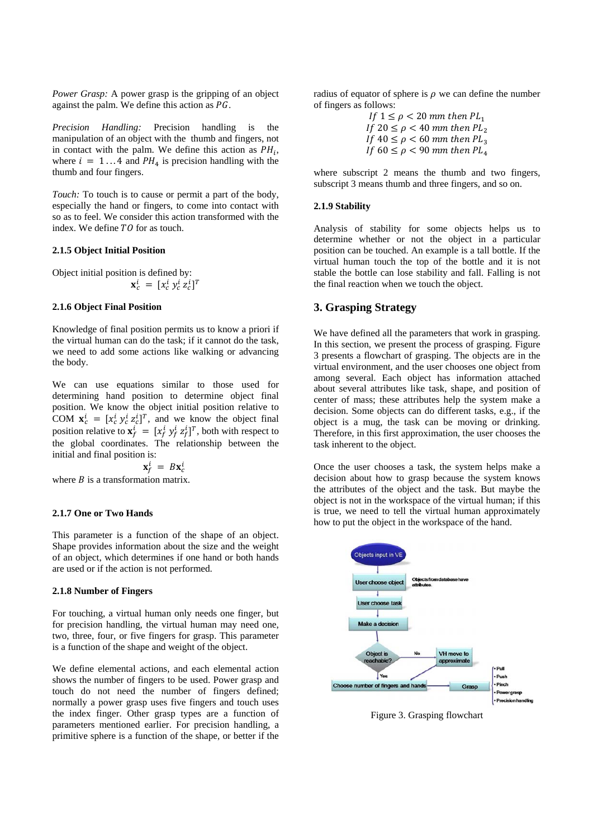*Power Grasp:* A power grasp is the gripping of an object against the palm. We define this action as  $PG$ .

*Precision Handling:* Precision handling is the manipulation of an object with the thumb and fingers, not in contact with the palm. We define this action as  $PH_i$ , where  $i = 1...4$  and  $PH_4$  is precision handling with the thumb and four fingers.

*Touch:* To touch is to cause or permit a part of the body, especially the hand or fingers, to come into contact with so as to feel. We consider this action transformed with the index. We define TO for as touch.

#### **2.1.5 Object Initial Position**

Object initial position is defined by:  $\mathbf{x}_c^i = [x_c^i \, y_c^i \, z_c^i]^T$ 

#### **2.1.6 Object Final Position**

Knowledge of final position permits us to know a priori if the virtual human can do the task; if it cannot do the task, we need to add some actions like walking or advancing the body.

We can use equations similar to those used for determining hand position to determine object final position. We know the object initial position relative to COM  $\mathbf{x}_c^i = [x_c^i y_c^i z_c^i]^T$ , and we know the object final position relative to  $\mathbf{x}_f^i = [x_f^i y_f^i z_f^i]^T$ , both with respect to the global coordinates. The relationship between the initial and final position is:

$$
\mathbf{x}_f^i = B\mathbf{x}_c^i
$$

where  *is a transformation matrix.* 

#### **2.1.7 One or Two Hands**

This parameter is a function of the shape of an object. Shape provides information about the size and the weight of an object, which determines if one hand or both hands are used or if the action is not performed.

#### **2.1.8 Number of Fingers**

For touching, a virtual human only needs one finger, but for precision handling, the virtual human may need one, two, three, four, or five fingers for grasp. This parameter is a function of the shape and weight of the object.

We define elemental actions, and each elemental action shows the number of fingers to be used. Power grasp and touch do not need the number of fingers defined; normally a power grasp uses five fingers and touch uses the index finger. Other grasp types are a function of parameters mentioned earlier. For precision handling, a primitive sphere is a function of the shape, or better if the

radius of equator of sphere is  $\rho$  we can define the number of fingers as follows:

> If  $1 \leq \rho < 20$  mm then  $PL_1$ If  $20 \leq \rho < 40$  mm then  $PL_2$ If  $40 \leq \rho < 60$  mm then  $PL_3$ If  $60 \leq \rho < 90$  mm then  $PL_4$

where subscript 2 means the thumb and two fingers, subscript 3 means thumb and three fingers, and so on.

#### **2.1.9 Stability**

Analysis of stability for some objects helps us to determine whether or not the object in a particular position can be touched. An example is a tall bottle. If the virtual human touch the top of the bottle and it is not stable the bottle can lose stability and fall. Falling is not the final reaction when we touch the object.

# **3. Grasping Strategy**

We have defined all the parameters that work in grasping. In this section, we present the process of grasping. Figure 3 presents a flowchart of grasping. The objects are in the virtual environment, and the user chooses one object from among several. Each object has information attached about several attributes like task, shape, and position of center of mass; these attributes help the system make a decision. Some objects can do different tasks, e.g., if the object is a mug, the task can be moving or drinking. Therefore, in this first approximation, the user chooses the task inherent to the object.

Once the user chooses a task, the system helps make a decision about how to grasp because the system knows the attributes of the object and the task. But maybe the object is not in the workspace of the virtual human; if this is true, we need to tell the virtual human approximately how to put the object in the workspace of the hand.



Figure 3. Grasping flowchart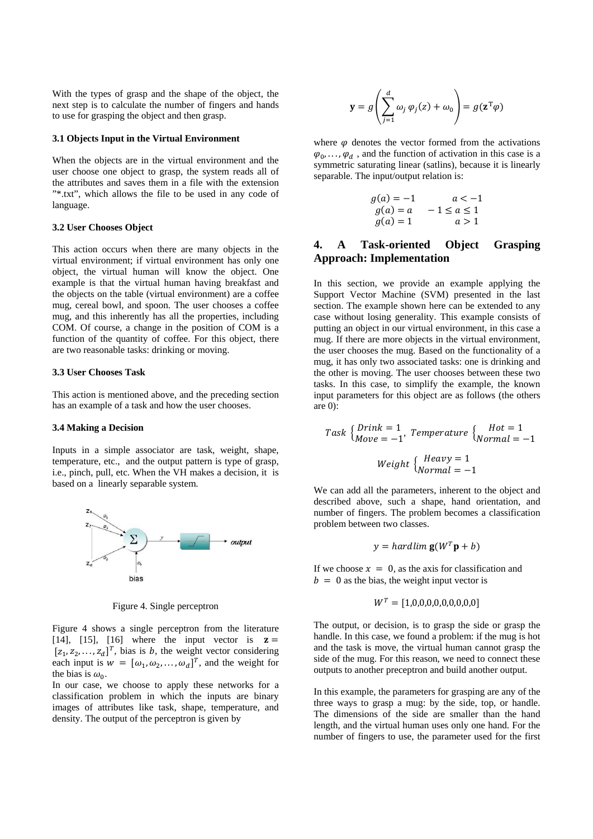With the types of grasp and the shape of the object, the next step is to calculate the number of fingers and hands to use for grasping the object and then grasp.

#### **3.1 Objects Input in the Virtual Environment**

When the objects are in the virtual environment and the user choose one object to grasp, the system reads all of the attributes and saves them in a file with the extension "\*.txt", which allows the file to be used in any code of language.

#### **3.2 User Chooses Object**

This action occurs when there are many objects in the virtual environment; if virtual environment has only one object, the virtual human will know the object. One example is that the virtual human having breakfast and the objects on the table (virtual environment) are a coffee mug, cereal bowl, and spoon. The user chooses a coffee mug, and this inherently has all the properties, including COM. Of course, a change in the position of COM is a function of the quantity of coffee. For this object, there are two reasonable tasks: drinking or moving.

#### **3.3 User Chooses Task**

This action is mentioned above, and the preceding section has an example of a task and how the user chooses.

### **3.4 Making a Decision**

Inputs in a simple associator are task, weight, shape, temperature, etc., and the output pattern is type of grasp, i.e., pinch, pull, etc. When the VH makes a decision, it is based on a linearly separable system.



Figure 4. Single perceptron

Figure 4 shows a single perceptron from the literature [14], [15], [16] where the input vector is  $z =$  $[z_1, z_2,..., z_d]^T$ , bias is *b*, the weight vector considering each input is  $w = [\omega_1, \omega_2, ..., \omega_d]^T$ , and the weight for the bias is  $\omega_0$ .

In our case, we choose to apply these networks for a classification problem in which the inputs are binary images of attributes like task, shape, temperature, and density. The output of the perceptron is given by

$$
\mathbf{y} = g\left(\sum_{j=1}^{d} \omega_j \varphi_j(z) + \omega_0\right) = g(\mathbf{z}^{\mathrm{T}} \varphi)
$$

where  $\varphi$  denotes the vector formed from the activations  $\varphi_0, \ldots, \varphi_d$ , and the function of activation in this case is a symmetric saturating linear (satlins), because it is linearly separable. The input/output relation is:

$$
g(a) = -1 \n a < -1\n g(a) = a \n -1 \le a \le 1\n g(a) = 1 \n a > 1
$$

# **4. A Task-oriented Object Grasping Approach: Implementation**

In this section, we provide an example applying the Support Vector Machine (SVM) presented in the last section. The example shown here can be extended to any case without losing generality. This example consists of putting an object in our virtual environment, in this case a mug. If there are more objects in the virtual environment, the user chooses the mug. Based on the functionality of a mug, it has only two associated tasks: one is drinking and the other is moving. The user chooses between these two tasks. In this case, to simplify the example, the known input parameters for this object are as follows (the others are 0):

Task 
$$
\begin{aligned} \begin{cases} \text{Drink} &= 1\\ \text{Move} &= -1 \end{cases} \text{ Temperature } \begin{cases} \text{Hot} &= 1\\ \text{Normal} &= -1 \end{cases} \\ \text{Weight } \begin{cases} \text{Heavy} &= 1\\ \text{Normal} &= -1 \end{cases} \end{aligned}
$$

We can add all the parameters, inherent to the object and described above, such a shape, hand orientation, and number of fingers. The problem becomes a classification problem between two classes.

$$
y = \text{hardlim } g(W^T p + b)
$$

If we choose  $x = 0$ , as the axis for classification and  $b = 0$  as the bias, the weight input vector is

$$
W^T = [1,0,0,0,0,0,0,0,0,0]
$$

The output, or decision, is to grasp the side or grasp the handle. In this case, we found a problem: if the mug is hot and the task is move, the virtual human cannot grasp the side of the mug. For this reason, we need to connect these outputs to another preceptron and build another output.

In this example, the parameters for grasping are any of the three ways to grasp a mug: by the side, top, or handle. The dimensions of the side are smaller than the hand length, and the virtual human uses only one hand. For the number of fingers to use, the parameter used for the first